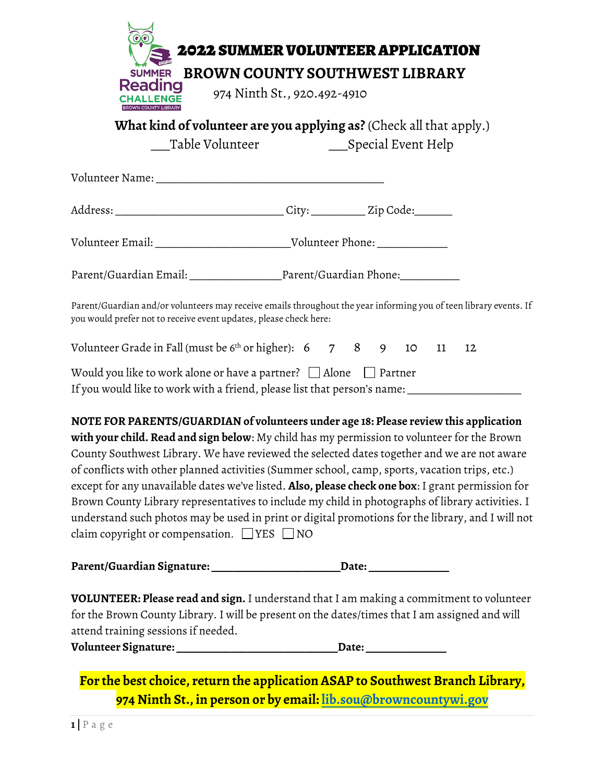|                                                                   | <b>2022 SUMMER VOLUNTEER APPLICATION</b>                                                                                                                                                                                                                                                                                                                                                                                                                                                                                                                                                                                                                                                                   |
|-------------------------------------------------------------------|------------------------------------------------------------------------------------------------------------------------------------------------------------------------------------------------------------------------------------------------------------------------------------------------------------------------------------------------------------------------------------------------------------------------------------------------------------------------------------------------------------------------------------------------------------------------------------------------------------------------------------------------------------------------------------------------------------|
| <b>Reading</b><br><b>HALLENGE</b>                                 | SUMMER BROWN COUNTY SOUTHWEST LIBRARY<br>974 Ninth St., 920.492-4910                                                                                                                                                                                                                                                                                                                                                                                                                                                                                                                                                                                                                                       |
|                                                                   | <b>What kind of volunteer are you applying as?</b> (Check all that apply.)<br>_Table Volunteer ___________________Special Event Help                                                                                                                                                                                                                                                                                                                                                                                                                                                                                                                                                                       |
|                                                                   |                                                                                                                                                                                                                                                                                                                                                                                                                                                                                                                                                                                                                                                                                                            |
|                                                                   |                                                                                                                                                                                                                                                                                                                                                                                                                                                                                                                                                                                                                                                                                                            |
|                                                                   |                                                                                                                                                                                                                                                                                                                                                                                                                                                                                                                                                                                                                                                                                                            |
|                                                                   |                                                                                                                                                                                                                                                                                                                                                                                                                                                                                                                                                                                                                                                                                                            |
| you would prefer not to receive event updates, please check here: | Parent/Guardian and/or volunteers may receive emails throughout the year informing you of teen library events. If                                                                                                                                                                                                                                                                                                                                                                                                                                                                                                                                                                                          |
|                                                                   | Volunteer Grade in Fall (must be $6th$ or higher): $6$ 7 8 9 10 11<br>12                                                                                                                                                                                                                                                                                                                                                                                                                                                                                                                                                                                                                                   |
|                                                                   | Would you like to work alone or have a partner? $\Box$ Alone $\Box$ Partner<br>If you would like to work with a friend, please list that person's name: __________________________                                                                                                                                                                                                                                                                                                                                                                                                                                                                                                                         |
| claim copyright or compensation. $\Box$ YES $\Box$ NO             | NOTE FOR PARENTS/GUARDIAN of volunteers under age 18: Please review this application<br>with your child. Read and sign below: My child has my permission to volunteer for the Brown<br>County Southwest Library. We have reviewed the selected dates together and we are not aware<br>of conflicts with other planned activities (Summer school, camp, sports, vacation trips, etc.)<br>except for any unavailable dates we've listed. <b>Also, please check one box</b> : I grant permission for<br>Brown County Library representatives to include my child in photographs of library activities. I<br>understand such photos may be used in print or digital promotions for the library, and I will not |
|                                                                   | Parent/Guardian Signature: ________________________________Date: _______________                                                                                                                                                                                                                                                                                                                                                                                                                                                                                                                                                                                                                           |
| attend training sessions if needed.                               | VOLUNTEER: Please read and sign. I understand that I am making a commitment to volunteer<br>for the Brown County Library. I will be present on the dates/times that I am assigned and will                                                                                                                                                                                                                                                                                                                                                                                                                                                                                                                 |
|                                                                   |                                                                                                                                                                                                                                                                                                                                                                                                                                                                                                                                                                                                                                                                                                            |
|                                                                   | For the best choice, return the application ASAP to Southwest Branch Library,                                                                                                                                                                                                                                                                                                                                                                                                                                                                                                                                                                                                                              |
|                                                                   | 974 Ninth St., in person or by email: lib.sou@browncountywi.gov                                                                                                                                                                                                                                                                                                                                                                                                                                                                                                                                                                                                                                            |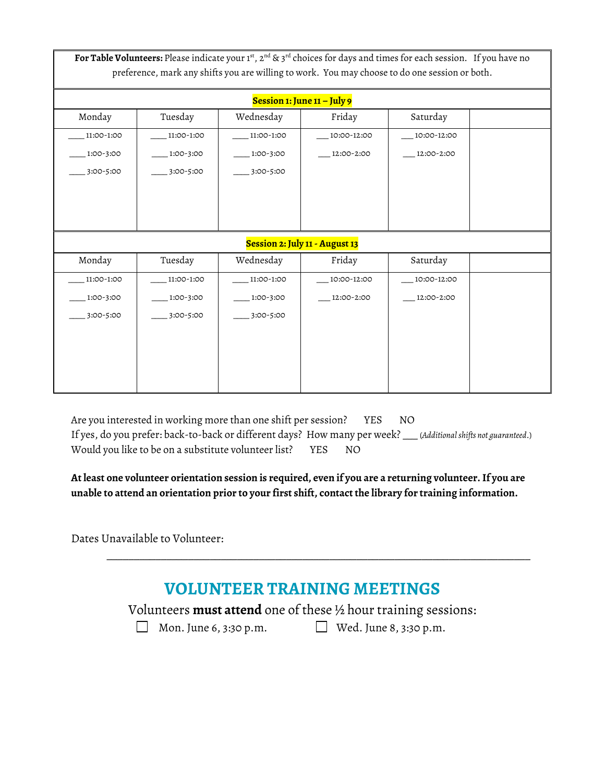For Table Volunteers: Please indicate your 1st, 2<sup>nd</sup> & 3<sup>rd</sup> choices for days and times for each session. If you have no preference, mark any shifts you are willing to work. You may choose to do one session or both.

| Session 1: June 11 – July 9    |            |            |             |             |  |  |
|--------------------------------|------------|------------|-------------|-------------|--|--|
| Monday                         | Tuesday    | Wednesday  | Friday      | Saturday    |  |  |
| 11:00-1:00                     | 11:00-1:00 | 11:00-1:00 | 10:00-12:00 | 10:00-12:00 |  |  |
| 1:00-3:00                      | 1:00-3:00  | 1:00-3:00  | 12:00-2:00  | 12:00-2:00  |  |  |
| 3:00-5:00                      | 3:00-5:00  | 3:00-5:00  |             |             |  |  |
|                                |            |            |             |             |  |  |
|                                |            |            |             |             |  |  |
|                                |            |            |             |             |  |  |
| Session 2: July 11 - August 13 |            |            |             |             |  |  |
| Monday                         | Tuesday    | Wednesday  | Friday      | Saturday    |  |  |
| 11:00-1:00                     | 11:00-1:00 | 11:00-1:00 | 10:00-12:00 | 10:00-12:00 |  |  |
| 1:00-3:00                      | 1:00-3:00  | 1:00-3:00  | 12:00-2:00  | 12:00-2:00  |  |  |
| 3:00-5:00                      | 3:00-5:00  | 3:00-5:00  |             |             |  |  |
|                                |            |            |             |             |  |  |
|                                |            |            |             |             |  |  |
|                                |            |            |             |             |  |  |
|                                |            |            |             |             |  |  |

Are you interested in working more than one shift per session? YES NO If yes, do you prefer: back-to-back or different days? How many per week? \_\_\_ (*Additional shifts not guaranteed*.) Would you like to be on a substitute volunteer list? YES NO

**At least one volunteer orientation session is required, even if you are a returning volunteer. If you are unable to attend an orientation prior to your first shift, contact the library for training information.**

Dates Unavailable to Volunteer:

## **VOLUNTEER TRAINING MEETINGS**

\_\_\_\_\_\_\_\_\_\_\_\_\_\_\_\_\_\_\_\_\_\_\_\_\_\_\_\_\_\_\_\_\_\_\_\_\_\_\_\_\_\_\_\_\_\_\_\_\_\_\_\_\_\_\_\_\_\_\_\_\_\_\_\_\_\_\_\_\_\_\_\_\_\_\_\_\_\_

Volunteers **must attend** one of these ½ hour training sessions:

Mon. June 6, 3:30 p.m.  $\Box$  Wed. June 8, 3:30 p.m.